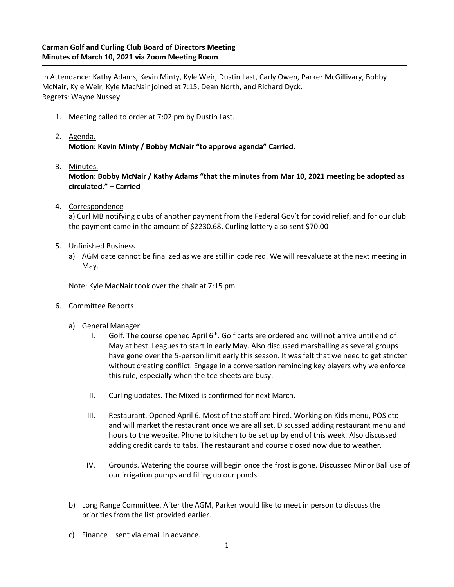In Attendance: Kathy Adams, Kevin Minty, Kyle Weir, Dustin Last, Carly Owen, Parker McGillivary, Bobby McNair, Kyle Weir, Kyle MacNair joined at 7:15, Dean North, and Richard Dyck. Regrets: Wayne Nussey

- 1. Meeting called to order at 7:02 pm by Dustin Last.
- 2. Agenda. **Motion: Kevin Minty / Bobby McNair "to approve agenda" Carried.**
- 3. Minutes.

**Motion: Bobby McNair / Kathy Adams "that the minutes from Mar 10, 2021 meeting be adopted as circulated." – Carried**

4. Correspondence

a) Curl MB notifying clubs of another payment from the Federal Gov't for covid relief, and for our club the payment came in the amount of \$2230.68. Curling lottery also sent \$70.00

- 5. Unfinished Business
	- a) AGM date cannot be finalized as we are still in code red. We will reevaluate at the next meeting in May.

Note: Kyle MacNair took over the chair at 7:15 pm.

- 6. Committee Reports
	- a) General Manager
		- I. Golf. The course opened April  $6<sup>th</sup>$ . Golf carts are ordered and will not arrive until end of May at best. Leagues to start in early May. Also discussed marshalling as several groups have gone over the 5-person limit early this season. It was felt that we need to get stricter without creating conflict. Engage in a conversation reminding key players why we enforce this rule, especially when the tee sheets are busy.
		- II. Curling updates. The Mixed is confirmed for next March.
		- III. Restaurant. Opened April 6. Most of the staff are hired. Working on Kids menu, POS etc and will market the restaurant once we are all set. Discussed adding restaurant menu and hours to the website. Phone to kitchen to be set up by end of this week. Also discussed adding credit cards to tabs. The restaurant and course closed now due to weather.
		- IV. Grounds. Watering the course will begin once the frost is gone. Discussed Minor Ball use of our irrigation pumps and filling up our ponds.
	- b) Long Range Committee. After the AGM, Parker would like to meet in person to discuss the priorities from the list provided earlier.
	- c) Finance sent via email in advance.